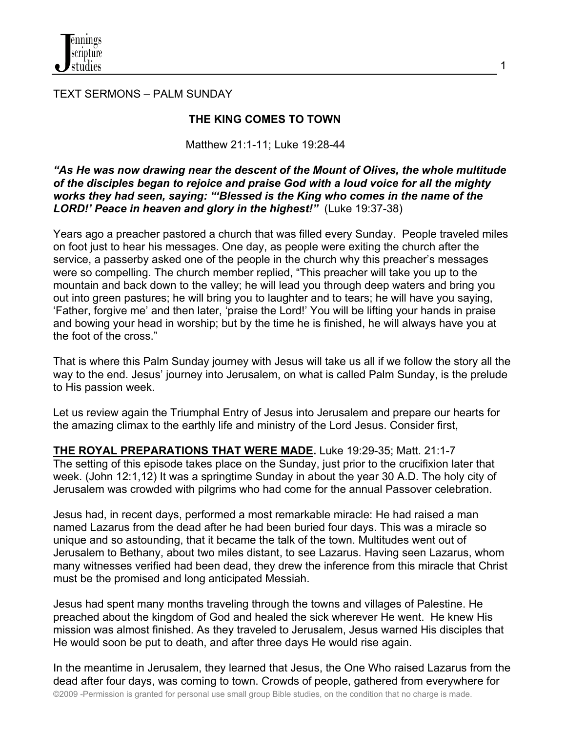TEXT SERMONS – PALM SUNDAY

### **THE KING COMES TO TOWN**

### Matthew 21:1-11; Luke 19:28-44

### *"As He was now drawing near the descent of the Mount of Olives, the whole multitude of the disciples began to rejoice and praise God with a loud voice for all the mighty works they had seen, saying: "'Blessed is the King who comes in the name of the LORD!' Peace in heaven and glory in the highest!"* (Luke 19:37-38)

Years ago a preacher pastored a church that was filled every Sunday. People traveled miles on foot just to hear his messages. One day, as people were exiting the church after the service, a passerby asked one of the people in the church why this preacher's messages were so compelling. The church member replied, "This preacher will take you up to the mountain and back down to the valley; he will lead you through deep waters and bring you out into green pastures; he will bring you to laughter and to tears; he will have you saying, 'Father, forgive me' and then later, 'praise the Lord!' You will be lifting your hands in praise and bowing your head in worship; but by the time he is finished, he will always have you at the foot of the cross."

That is where this Palm Sunday journey with Jesus will take us all if we follow the story all the way to the end. Jesus' journey into Jerusalem, on what is called Palm Sunday, is the prelude to His passion week.

Let us review again the Triumphal Entry of Jesus into Jerusalem and prepare our hearts for the amazing climax to the earthly life and ministry of the Lord Jesus. Consider first,

**THE ROYAL PREPARATIONS THAT WERE MADE.** Luke 19:29-35; Matt. 21:1-7 The setting of this episode takes place on the Sunday, just prior to the crucifixion later that week. (John 12:1,12) It was a springtime Sunday in about the year 30 A.D. The holy city of Jerusalem was crowded with pilgrims who had come for the annual Passover celebration.

Jesus had, in recent days, performed a most remarkable miracle: He had raised a man named Lazarus from the dead after he had been buried four days. This was a miracle so unique and so astounding, that it became the talk of the town. Multitudes went out of Jerusalem to Bethany, about two miles distant, to see Lazarus. Having seen Lazarus, whom many witnesses verified had been dead, they drew the inference from this miracle that Christ must be the promised and long anticipated Messiah.

Jesus had spent many months traveling through the towns and villages of Palestine. He preached about the kingdom of God and healed the sick wherever He went. He knew His mission was almost finished. As they traveled to Jerusalem, Jesus warned His disciples that He would soon be put to death, and after three days He would rise again.

©2009 -Permission is granted for personal use small group Bible studies, on the condition that no charge is made. In the meantime in Jerusalem, they learned that Jesus, the One Who raised Lazarus from the dead after four days, was coming to town. Crowds of people, gathered from everywhere for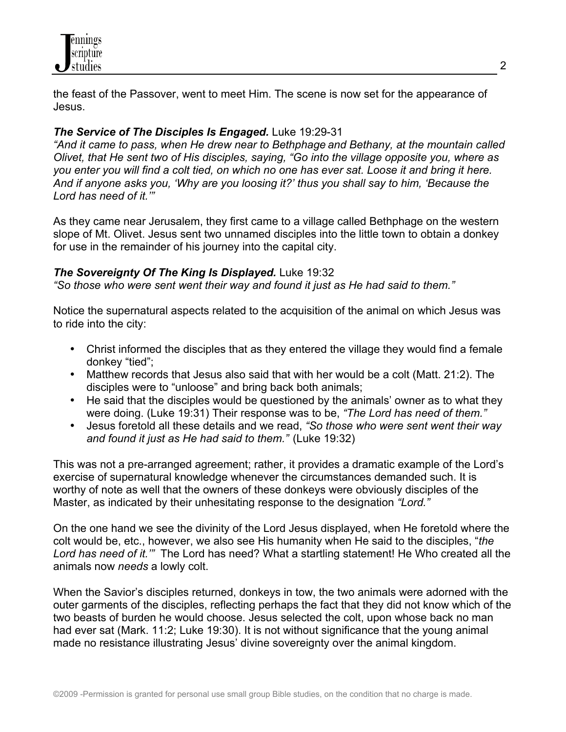

the feast of the Passover, went to meet Him. The scene is now set for the appearance of Jesus.

# *The Service of The Disciples Is Engaged.* Luke 19:29-31

*"And it came to pass, when He drew near to Bethphage and Bethany, at the mountain called Olivet, that He sent two of His disciples, saying, "Go into the village opposite you, where as you enter you will find a colt tied, on which no one has ever sat. Loose it and bring it here. And if anyone asks you, 'Why are you loosing it?' thus you shall say to him, 'Because the Lord has need of it.'"*

As they came near Jerusalem, they first came to a village called Bethphage on the western slope of Mt. Olivet. Jesus sent two unnamed disciples into the little town to obtain a donkey for use in the remainder of his journey into the capital city.

# *The Sovereignty Of The King Is Displayed.* Luke 19:32

*"So those who were sent went their way and found it just as He had said to them."* 

Notice the supernatural aspects related to the acquisition of the animal on which Jesus was to ride into the city:

- Christ informed the disciples that as they entered the village they would find a female donkey "tied";
- Matthew records that Jesus also said that with her would be a colt (Matt. 21:2). The disciples were to "unloose" and bring back both animals;
- He said that the disciples would be questioned by the animals' owner as to what they were doing. (Luke 19:31) Their response was to be, *"The Lord has need of them."*
- Jesus foretold all these details and we read, *"So those who were sent went their way and found it just as He had said to them."* (Luke 19:32)

This was not a pre-arranged agreement; rather, it provides a dramatic example of the Lord's exercise of supernatural knowledge whenever the circumstances demanded such. It is worthy of note as well that the owners of these donkeys were obviously disciples of the Master, as indicated by their unhesitating response to the designation *"Lord."*

On the one hand we see the divinity of the Lord Jesus displayed, when He foretold where the colt would be, etc., however, we also see His humanity when He said to the disciples, "*the Lord has need of it.'"* The Lord has need? What a startling statement! He Who created all the animals now *needs* a lowly colt.

When the Savior's disciples returned, donkeys in tow, the two animals were adorned with the outer garments of the disciples, reflecting perhaps the fact that they did not know which of the two beasts of burden he would choose. Jesus selected the colt, upon whose back no man had ever sat (Mark. 11:2; Luke 19:30). It is not without significance that the young animal made no resistance illustrating Jesus' divine sovereignty over the animal kingdom.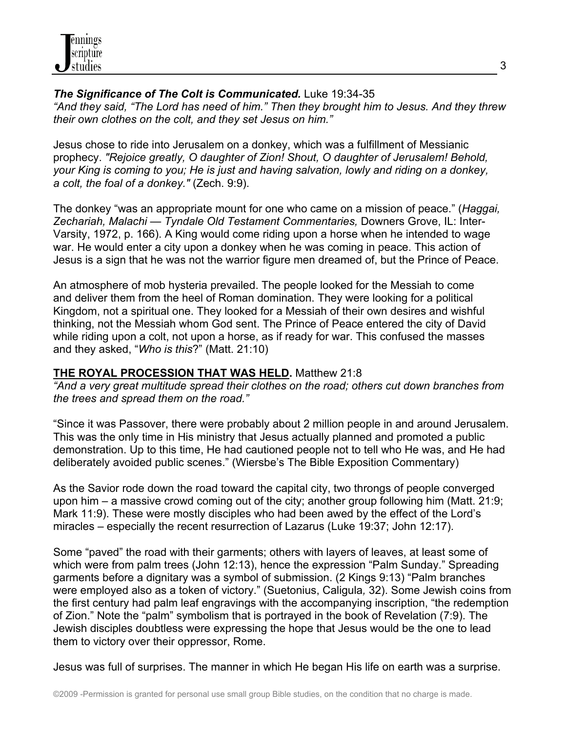

## *The Significance of The Colt is Communicated.* Luke 19:34-35

*"And they said, "The Lord has need of him." Then they brought him to Jesus. And they threw their own clothes on the colt, and they set Jesus on him."*

Jesus chose to ride into Jerusalem on a donkey, which was a fulfillment of Messianic prophecy. *"Rejoice greatly, O daughter of Zion! Shout, O daughter of Jerusalem! Behold, your King is coming to you; He is just and having salvation, lowly and riding on a donkey, a colt, the foal of a donkey."* (Zech. 9:9).

The donkey "was an appropriate mount for one who came on a mission of peace." (*Haggai, Zechariah, Malachi — Tyndale Old Testament Commentaries,* Downers Grove, IL: Inter-Varsity, 1972, p. 166). A King would come riding upon a horse when he intended to wage war. He would enter a city upon a donkey when he was coming in peace. This action of Jesus is a sign that he was not the warrior figure men dreamed of, but the Prince of Peace.

An atmosphere of mob hysteria prevailed. The people looked for the Messiah to come and deliver them from the heel of Roman domination. They were looking for a political Kingdom, not a spiritual one. They looked for a Messiah of their own desires and wishful thinking, not the Messiah whom God sent. The Prince of Peace entered the city of David while riding upon a colt, not upon a horse, as if ready for war. This confused the masses and they asked, "*Who is this*?" (Matt. 21:10)

# **THE ROYAL PROCESSION THAT WAS HELD.** Matthew 21:8

*"And a very great multitude spread their clothes on the road; others cut down branches from the trees and spread them on the road."*

"Since it was Passover, there were probably about 2 million people in and around Jerusalem. This was the only time in His ministry that Jesus actually planned and promoted a public demonstration. Up to this time, He had cautioned people not to tell who He was, and He had deliberately avoided public scenes." (Wiersbe's The Bible Exposition Commentary)

As the Savior rode down the road toward the capital city, two throngs of people converged upon him – a massive crowd coming out of the city; another group following him (Matt. 21:9; Mark 11:9). These were mostly disciples who had been awed by the effect of the Lord's miracles – especially the recent resurrection of Lazarus (Luke 19:37; John 12:17).

Some "paved" the road with their garments; others with layers of leaves, at least some of which were from palm trees (John 12:13), hence the expression "Palm Sunday." Spreading garments before a dignitary was a symbol of submission. (2 Kings 9:13) "Palm branches were employed also as a token of victory." (Suetonius, Caligula*,* 32). Some Jewish coins from the first century had palm leaf engravings with the accompanying inscription, "the redemption of Zion." Note the "palm" symbolism that is portrayed in the book of Revelation (7:9). The Jewish disciples doubtless were expressing the hope that Jesus would be the one to lead them to victory over their oppressor, Rome.

Jesus was full of surprises. The manner in which He began His life on earth was a surprise.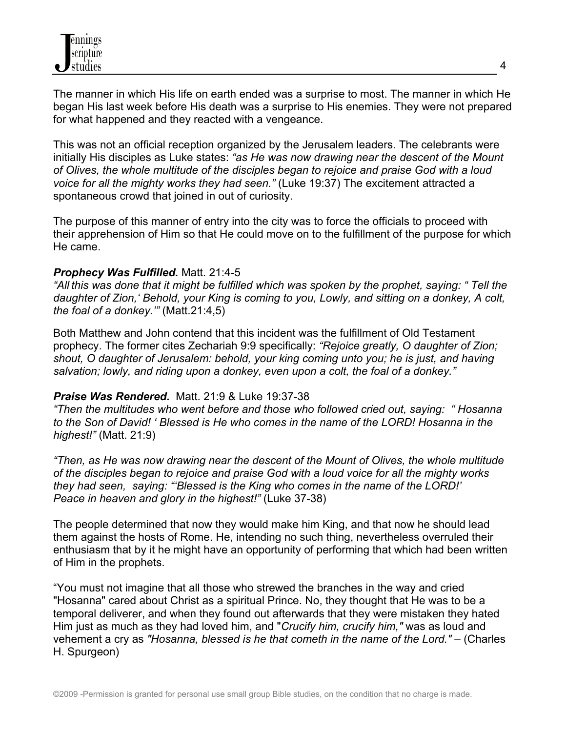The manner in which His life on earth ended was a surprise to most. The manner in which He began His last week before His death was a surprise to His enemies. They were not prepared for what happened and they reacted with a vengeance.

This was not an official reception organized by the Jerusalem leaders. The celebrants were initially His disciples as Luke states: *"as He was now drawing near the descent of the Mount of Olives, the whole multitude of the disciples began to rejoice and praise God with a loud voice for all the mighty works they had seen."* (Luke 19:37) The excitement attracted a spontaneous crowd that joined in out of curiosity.

The purpose of this manner of entry into the city was to force the officials to proceed with their apprehension of Him so that He could move on to the fulfillment of the purpose for which He came.

### *Prophecy Was Fulfilled.* Matt. 21:4-5

*"All this was done that it might be fulfilled which was spoken by the prophet, saying: " Tell the daughter of Zion,' Behold, your King is coming to you, Lowly, and sitting on a donkey, A colt, the foal of a donkey.'"* (Matt.21:4,5)

Both Matthew and John contend that this incident was the fulfillment of Old Testament prophecy. The former cites Zechariah 9:9 specifically: *"Rejoice greatly, O daughter of Zion; shout, O daughter of Jerusalem: behold, your king coming unto you; he is just, and having salvation; lowly, and riding upon a donkey, even upon a colt, the foal of a donkey."*

### *Praise Was Rendered.* Matt. 21:9 & Luke 19:37-38

*"Then the multitudes who went before and those who followed cried out, saying: " Hosanna to the Son of David! ' Blessed is He who comes in the name of the LORD! Hosanna in the highest!"* (Matt. 21:9)

*"Then, as He was now drawing near the descent of the Mount of Olives, the whole multitude of the disciples began to rejoice and praise God with a loud voice for all the mighty works they had seen, saying: "'Blessed is the King who comes in the name of the LORD!' Peace in heaven and glory in the highest!"* (Luke 37-38)

The people determined that now they would make him King, and that now he should lead them against the hosts of Rome. He, intending no such thing, nevertheless overruled their enthusiasm that by it he might have an opportunity of performing that which had been written of Him in the prophets.

"You must not imagine that all those who strewed the branches in the way and cried "Hosanna" cared about Christ as a spiritual Prince. No, they thought that He was to be a temporal deliverer, and when they found out afterwards that they were mistaken they hated Him just as much as they had loved him, and "*Crucify him, crucify him,"* was as loud and vehement a cry as *"Hosanna, blessed is he that cometh in the name of the Lord."* – (Charles H. Spurgeon)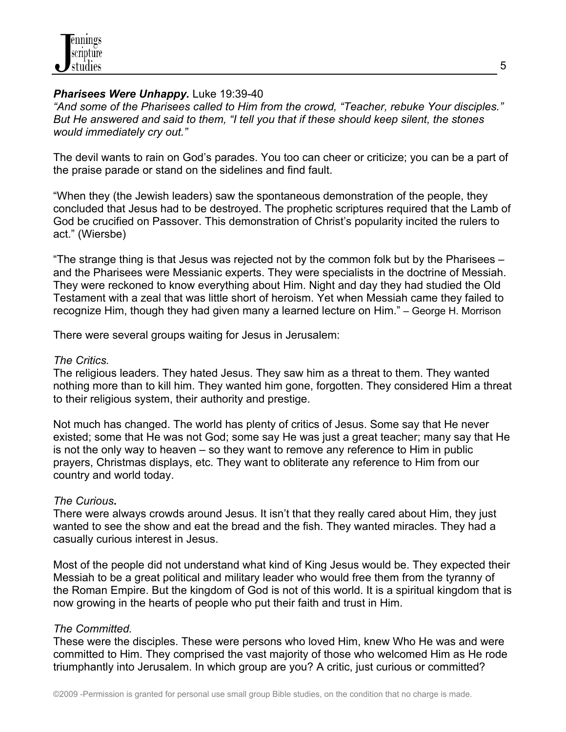## *Pharisees Were Unhappy.* Luke 19:39-40

*"And some of the Pharisees called to Him from the crowd, "Teacher, rebuke Your disciples." But He answered and said to them, "I tell you that if these should keep silent, the stones would immediately cry out."*

The devil wants to rain on God's parades. You too can cheer or criticize; you can be a part of the praise parade or stand on the sidelines and find fault.

"When they (the Jewish leaders) saw the spontaneous demonstration of the people, they concluded that Jesus had to be destroyed. The prophetic scriptures required that the Lamb of God be crucified on Passover. This demonstration of Christ's popularity incited the rulers to act." (Wiersbe)

"The strange thing is that Jesus was rejected not by the common folk but by the Pharisees – and the Pharisees were Messianic experts. They were specialists in the doctrine of Messiah. They were reckoned to know everything about Him. Night and day they had studied the Old Testament with a zeal that was little short of heroism. Yet when Messiah came they failed to recognize Him, though they had given many a learned lecture on Him." – George H. Morrison

There were several groups waiting for Jesus in Jerusalem:

## *The Critics.*

The religious leaders. They hated Jesus. They saw him as a threat to them. They wanted nothing more than to kill him. They wanted him gone, forgotten. They considered Him a threat to their religious system, their authority and prestige.

Not much has changed. The world has plenty of critics of Jesus. Some say that He never existed; some that He was not God; some say He was just a great teacher; many say that He is not the only way to heaven – so they want to remove any reference to Him in public prayers, Christmas displays, etc. They want to obliterate any reference to Him from our country and world today.

# *The Curious***.**

There were always crowds around Jesus. It isn't that they really cared about Him, they just wanted to see the show and eat the bread and the fish. They wanted miracles. They had a casually curious interest in Jesus.

Most of the people did not understand what kind of King Jesus would be. They expected their Messiah to be a great political and military leader who would free them from the tyranny of the Roman Empire. But the kingdom of God is not of this world. It is a spiritual kingdom that is now growing in the hearts of people who put their faith and trust in Him.

### *The Committed.*

These were the disciples. These were persons who loved Him, knew Who He was and were committed to Him. They comprised the vast majority of those who welcomed Him as He rode triumphantly into Jerusalem. In which group are you? A critic, just curious or committed?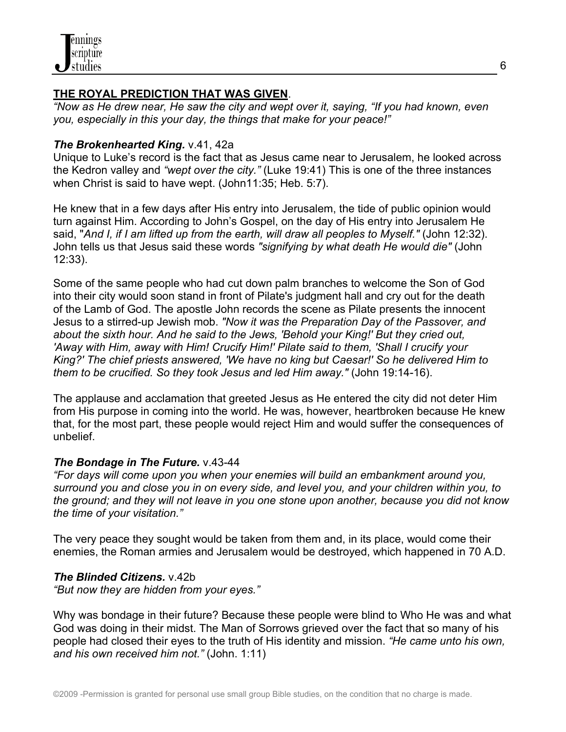

## **THE ROYAL PREDICTION THAT WAS GIVEN**.

*"Now as He drew near, He saw the city and wept over it, saying, "If you had known, even you, especially in this your day, the things that make for your peace!"*

### *The Brokenhearted King.* v.41, 42a

Unique to Luke's record is the fact that as Jesus came near to Jerusalem, he looked across the Kedron valley and *"wept over the city."* (Luke 19:41) This is one of the three instances when Christ is said to have wept. (John11:35; Heb. 5:7).

He knew that in a few days after His entry into Jerusalem, the tide of public opinion would turn against Him. According to John's Gospel, on the day of His entry into Jerusalem He said, "*And I, if I am lifted up from the earth, will draw all peoples to Myself."* (John 12:32). John tells us that Jesus said these words *"signifying by what death He would die"* (John 12:33).

Some of the same people who had cut down palm branches to welcome the Son of God into their city would soon stand in front of Pilate's judgment hall and cry out for the death of the Lamb of God. The apostle John records the scene as Pilate presents the innocent Jesus to a stirred-up Jewish mob. *"Now it was the Preparation Day of the Passover, and about the sixth hour. And he said to the Jews, 'Behold your King!' But they cried out, 'Away with Him, away with Him! Crucify Him!' Pilate said to them, 'Shall I crucify your King?' The chief priests answered, 'We have no king but Caesar!' So he delivered Him to them to be crucified. So they took Jesus and led Him away."* (John 19:14-16).

The applause and acclamation that greeted Jesus as He entered the city did not deter Him from His purpose in coming into the world. He was, however, heartbroken because He knew that, for the most part, these people would reject Him and would suffer the consequences of unbelief.

### *The Bondage in The Future.* v.43-44

*"For days will come upon you when your enemies will build an embankment around you, surround you and close you in on every side, and level you, and your children within you, to the ground; and they will not leave in you one stone upon another, because you did not know the time of your visitation."*

The very peace they sought would be taken from them and, in its place, would come their enemies, the Roman armies and Jerusalem would be destroyed, which happened in 70 A.D.

### *The Blinded Citizens.* v.42b

*"But now they are hidden from your eyes."*

Why was bondage in their future? Because these people were blind to Who He was and what God was doing in their midst. The Man of Sorrows grieved over the fact that so many of his people had closed their eyes to the truth of His identity and mission. *"He came unto his own, and his own received him not."* (John. 1:11)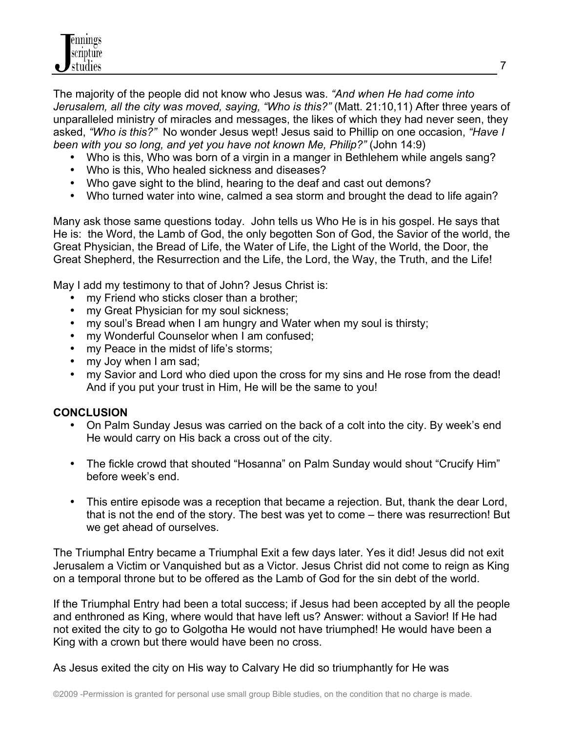The majority of the people did not know who Jesus was. *"And when He had come into*  Jerusalem, all the city was moved, saying, "Who is this?" (Matt. 21:10,11) After three years of unparalleled ministry of miracles and messages, the likes of which they had never seen, they asked, *"Who is this?"* No wonder Jesus wept! Jesus said to Phillip on one occasion, *"Have I been with you so long, and yet you have not known Me, Philip?"* (John 14:9)

- Who is this, Who was born of a virgin in a manger in Bethlehem while angels sang?
- Who is this, Who healed sickness and diseases?
- Who gave sight to the blind, hearing to the deaf and cast out demons?
- Who turned water into wine, calmed a sea storm and brought the dead to life again?

Many ask those same questions today. John tells us Who He is in his gospel. He says that He is: the Word, the Lamb of God, the only begotten Son of God, the Savior of the world, the Great Physician, the Bread of Life, the Water of Life, the Light of the World, the Door, the Great Shepherd, the Resurrection and the Life, the Lord, the Way, the Truth, and the Life!

May I add my testimony to that of John? Jesus Christ is:

- my Friend who sticks closer than a brother;
- my Great Physician for my soul sickness;
- my soul's Bread when I am hungry and Water when my soul is thirsty;
- my Wonderful Counselor when I am confused;
- my Peace in the midst of life's storms;
- my Joy when I am sad;
- my Savior and Lord who died upon the cross for my sins and He rose from the dead! And if you put your trust in Him, He will be the same to you!

### **CONCLUSION**

- On Palm Sunday Jesus was carried on the back of a colt into the city. By week's end He would carry on His back a cross out of the city.
- The fickle crowd that shouted "Hosanna" on Palm Sunday would shout "Crucify Him" before week's end.
- This entire episode was a reception that became a rejection. But, thank the dear Lord, that is not the end of the story. The best was yet to come – there was resurrection! But we get ahead of ourselves.

The Triumphal Entry became a Triumphal Exit a few days later. Yes it did! Jesus did not exit Jerusalem a Victim or Vanquished but as a Victor. Jesus Christ did not come to reign as King on a temporal throne but to be offered as the Lamb of God for the sin debt of the world.

If the Triumphal Entry had been a total success; if Jesus had been accepted by all the people and enthroned as King, where would that have left us? Answer: without a Savior! If He had not exited the city to go to Golgotha He would not have triumphed! He would have been a King with a crown but there would have been no cross.

As Jesus exited the city on His way to Calvary He did so triumphantly for He was